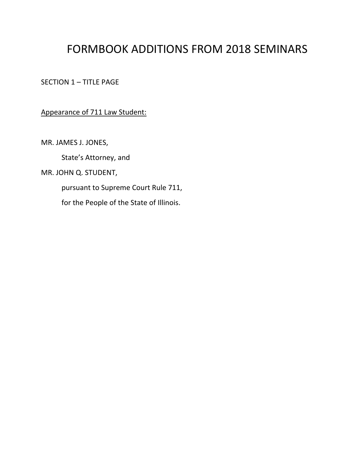# FORMBOOK ADDITIONS FROM 2018 SEMINARS

SECTION 1 – TITLE PAGE

Appearance of 711 Law Student:

MR. JAMES J. JONES,

State's Attorney, and

MR. JOHN Q. STUDENT,

pursuant to Supreme Court Rule 711,

for the People of the State of Illinois.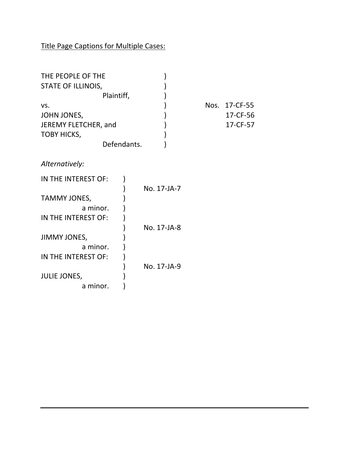Title Page Captions for Multiple Cases:

| THE PEOPLE OF THE    |             |               |
|----------------------|-------------|---------------|
| STATE OF ILLINOIS,   |             |               |
| Plaintiff,           |             |               |
| VS.                  |             | Nos. 17-CF-55 |
| JOHN JONES,          |             | 17-CF-56      |
| JEREMY FLETCHER, and |             | 17-CF-57      |
| <b>TOBY HICKS,</b>   |             |               |
| Defendants.          |             |               |
|                      |             |               |
| Alternatively:       |             |               |
|                      |             |               |
| IN THE INTEREST OF:  |             |               |
|                      | No. 17-JA-7 |               |
| TAMMY JONES,         |             |               |
| a minor.             |             |               |
|                      |             |               |
| IN THE INTEREST OF:  |             |               |
|                      | No. 17-JA-8 |               |
| JIMMY JONES,         |             |               |
| a minor.             |             |               |
| IN THE INTEREST OF:  |             |               |
|                      | No. 17-JA-9 |               |
| <b>JULIE JONES,</b>  |             |               |
| a minor.             |             |               |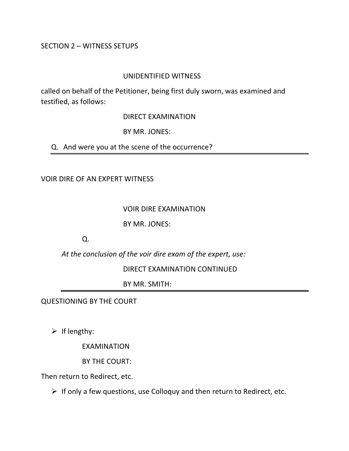#### SECTION 2 – WITNESS SETUPS

#### UNIDENTIFIED WITNESS

called on behalf of the Petitioner, being first duly sworn, was examined and testified, as follows:

DIRECT EXAMINATION

BY MR. JONES:

Q. And were you at the scene of the occurrence?

VOIR DIRE OF AN EXPERT WITNESS

#### VOIR DIRE EXAMINATION

BY MR. JONES:

Q.

*At the conclusion of the voir dire exam of the expert, use:*

DIRECT EXAMINATION CONTINUED

BY MR. SMITH:

QUESTIONING BY THE COURT

 $\triangleright$  If lengthy:

EXAMINATION

BY THE COURT:

Then return to Redirect, etc.

 $\triangleright$  If only a few questions, use Colloquy and then return to Redirect, etc.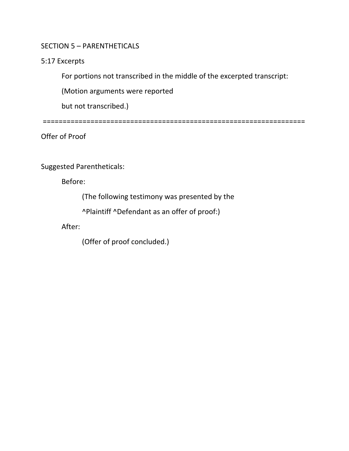### SECTION 5 – PARENTHETICALS

#### 5:17 Excerpts

For portions not transcribed in the middle of the excerpted transcript:

(Motion arguments were reported

but not transcribed.)

==================================================================

Offer of Proof

### Suggested Parentheticals:

Before:

(The following testimony was presented by the

^Plaintiff ^Defendant as an offer of proof:)

After:

(Offer of proof concluded.)